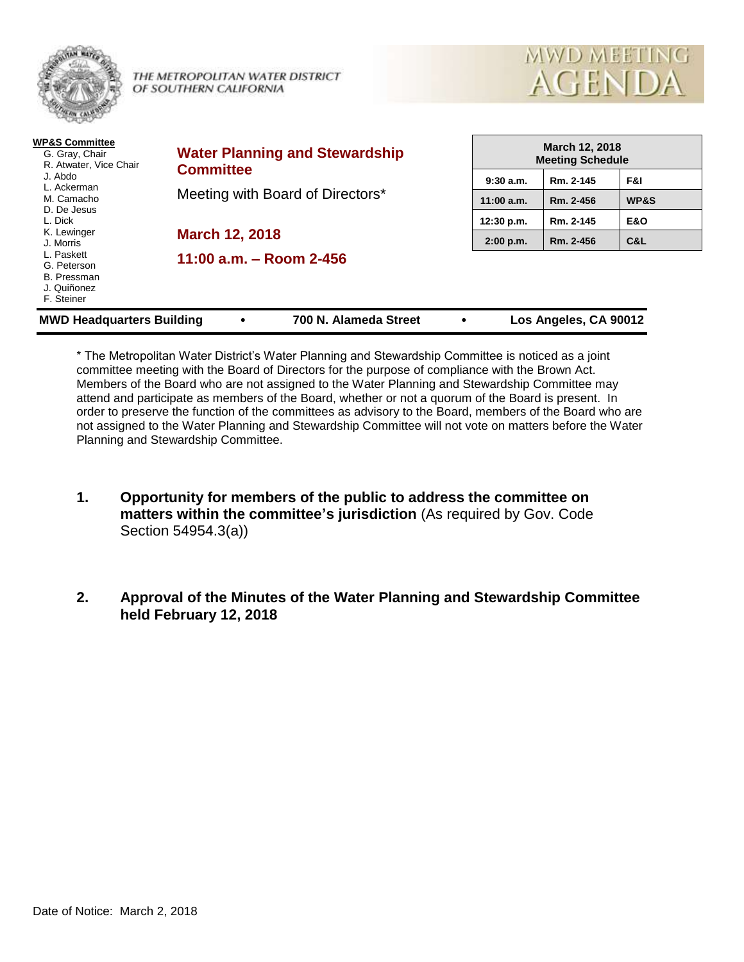

THE METROPOLITAN WATER DISTRICT OF SOUTHERN CALIFORNIA



| <b>WP&amp;S Committee</b><br>G. Gray, Chair<br>R. Atwater, Vice Chair<br>J. Abdo<br>L. Ackerman<br>M. Camacho<br>D. De Jesus<br>L. Dick<br>K. Lewinger<br>J. Morris<br>L. Paskett<br>G. Peterson<br>B. Pressman<br>J. Quiñonez<br>F. Steiner | <b>Water Planning and Stewardship</b><br><b>Committee</b><br>Meeting with Board of Directors* | <b>March 12, 2018</b><br><b>Meeting Schedule</b> |           |                |
|----------------------------------------------------------------------------------------------------------------------------------------------------------------------------------------------------------------------------------------------|-----------------------------------------------------------------------------------------------|--------------------------------------------------|-----------|----------------|
|                                                                                                                                                                                                                                              |                                                                                               | 9:30a.m.                                         | Rm. 2-145 | F&I.           |
|                                                                                                                                                                                                                                              |                                                                                               | 11:00 a.m.                                       | Rm. 2-456 | WP&S           |
|                                                                                                                                                                                                                                              | <b>March 12, 2018</b>                                                                         | 12:30 p.m.                                       | Rm. 2-145 | <b>E&amp;O</b> |
|                                                                                                                                                                                                                                              |                                                                                               | 2:00 p.m.                                        | Rm. 2-456 | C&L            |
|                                                                                                                                                                                                                                              | 11:00 $a.m. - Room$ 2-456                                                                     |                                                  |           |                |
| 700 N. Alameda Street<br>Los Angeles, CA 90012<br><b>MWD Headquarters Building</b><br>٠<br>٠                                                                                                                                                 |                                                                                               |                                                  |           |                |

\* The Metropolitan Water District's Water Planning and Stewardship Committee is noticed as a joint committee meeting with the Board of Directors for the purpose of compliance with the Brown Act. Members of the Board who are not assigned to the Water Planning and Stewardship Committee may attend and participate as members of the Board, whether or not a quorum of the Board is present. In order to preserve the function of the committees as advisory to the Board, members of the Board who are not assigned to the Water Planning and Stewardship Committee will not vote on matters before the Water Planning and Stewardship Committee.

- **1. Opportunity for members of the public to address the committee on matters within the committee's jurisdiction** (As required by Gov. Code Section 54954.3(a))
- **2. Approval of the Minutes of the Water Planning and Stewardship Committee held February 12, 2018**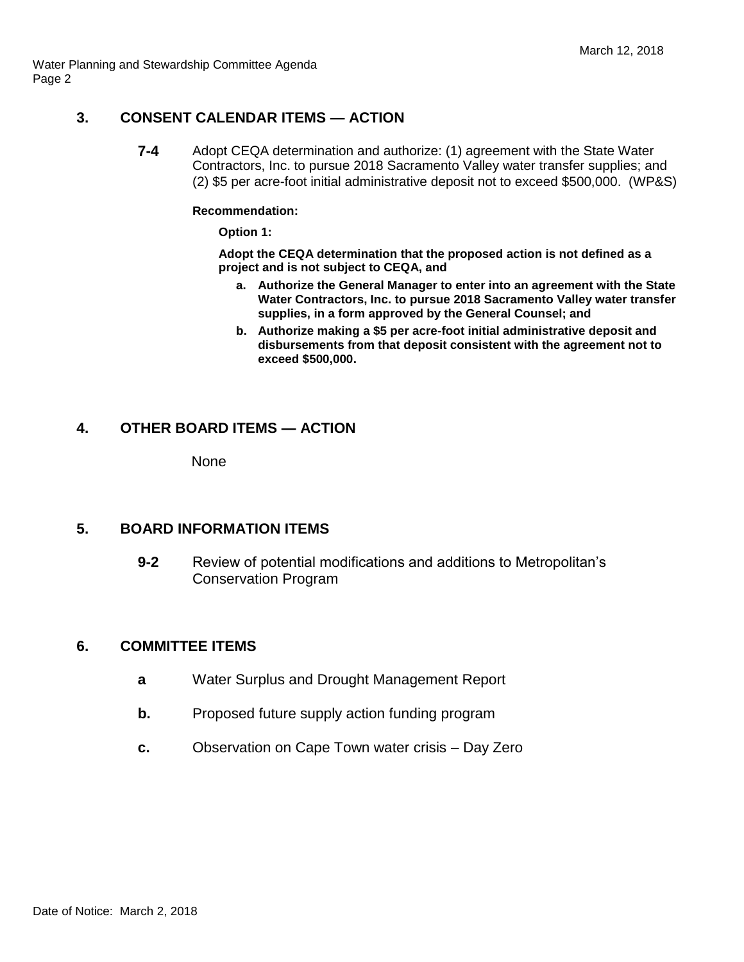Water Planning and Stewardship Committee Agenda Page 2

## **3. CONSENT CALENDAR ITEMS — ACTION**

**7-4** Adopt CEQA determination and authorize: (1) agreement with the State Water Contractors, Inc. to pursue 2018 Sacramento Valley water transfer supplies; and (2) \$5 per acre-foot initial administrative deposit not to exceed \$500,000. (WP&S)

#### **Recommendation:**

**Option 1:**

**Adopt the CEQA determination that the proposed action is not defined as a project and is not subject to CEQA, and** 

- **a. Authorize the General Manager to enter into an agreement with the State Water Contractors, Inc. to pursue 2018 Sacramento Valley water transfer supplies, in a form approved by the General Counsel; and**
- **b. Authorize making a \$5 per acre-foot initial administrative deposit and disbursements from that deposit consistent with the agreement not to exceed \$500,000.**

# **4. OTHER BOARD ITEMS — ACTION**

None

# **5. BOARD INFORMATION ITEMS**

**9-2** Review of potential modifications and additions to Metropolitan's Conservation Program

### **6. COMMITTEE ITEMS**

- **a** Water Surplus and Drought Management Report
- **b.** Proposed future supply action funding program
- **c.** Observation on Cape Town water crisis Day Zero